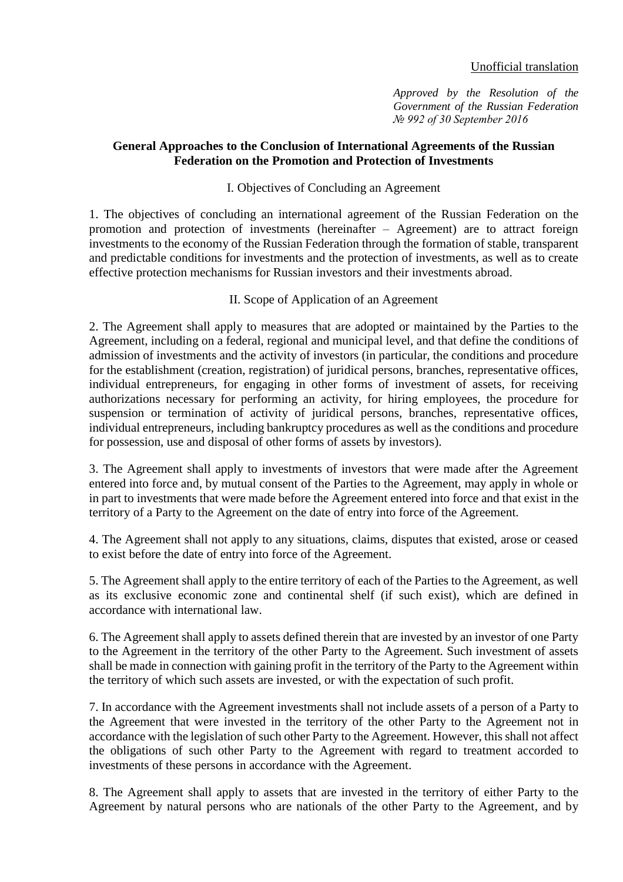### Unofficial translation

*Approved by the Resolution of the Government of the Russian Federation № 992 of 30 September 2016*

## **General Approaches to the Conclusion of International Agreements of the Russian Federation on the Promotion and Protection of Investments**

# I. Objectives of Concluding an Agreement

1. The objectives of concluding an international agreement of the Russian Federation on the promotion and protection of investments (hereinafter – Agreement) are to attract foreign investments to the economy of the Russian Federation through the formation of stable, transparent and predictable conditions for investments and the protection of investments, as well as to create effective protection mechanisms for Russian investors and their investments abroad.

## II. Scope of Application of an Agreement

2. The Agreement shall apply to measures that are adopted or maintained by the Parties to the Agreement, including on a federal, regional and municipal level, and that define the conditions of admission of investments and the activity of investors (in particular, the conditions and procedure for the establishment (creation, registration) of juridical persons, branches, representative offices, individual entrepreneurs, for engaging in other forms of investment of assets, for receiving authorizations necessary for performing an activity, for hiring employees, the procedure for suspension or termination of activity of juridical persons, branches, representative offices, individual entrepreneurs, including bankruptcy procedures as well as the conditions and procedure for possession, use and disposal of other forms of assets by investors).

3. The Agreement shall apply to investments of investors that were made after the Agreement entered into force and, by mutual consent of the Parties to the Agreement, may apply in whole or in part to investments that were made before the Agreement entered into force and that exist in the territory of a Party to the Agreement on the date of entry into force of the Agreement.

4. The Agreement shall not apply to any situations, claims, disputes that existed, arose or ceased to exist before the date of entry into force of the Agreement.

5. The Agreement shall apply to the entire territory of each of the Parties to the Agreement, as well as its exclusive economic zone and continental shelf (if such exist), which are defined in accordance with international law.

6. The Agreement shall apply to assets defined therein that are invested by an investor of one Party to the Agreement in the territory of the other Party to the Agreement. Such investment of assets shall be made in connection with gaining profit in the territory of the Party to the Agreement within the territory of which such assets are invested, or with the expectation of such profit.

7. In accordance with the Agreement investments shall not include assets of a person of a Party to the Agreement that were invested in the territory of the other Party to the Agreement not in accordance with the legislation of such other Party to the Agreement. However, this shall not affect the obligations of such other Party to the Agreement with regard to treatment accorded to investments of these persons in accordance with the Agreement.

8. The Agreement shall apply to assets that are invested in the territory of either Party to the Agreement by natural persons who are nationals of the other Party to the Agreement, and by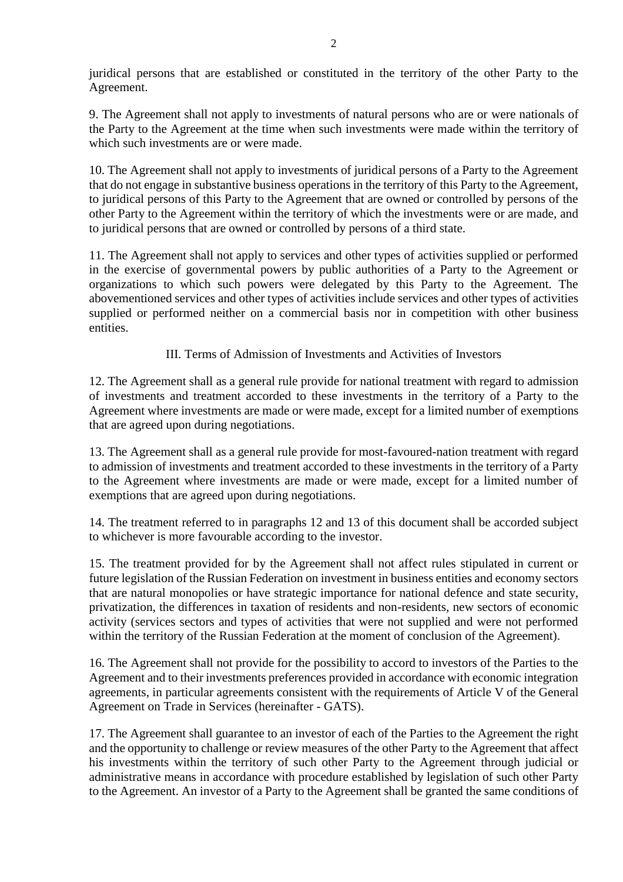juridical persons that are established or constituted in the territory of the other Party to the Agreement.

9. The Agreement shall not apply to investments of natural persons who are or were nationals of the Party to the Agreement at the time when such investments were made within the territory of which such investments are or were made.

10. The Agreement shall not apply to investments of juridical persons of a Party to the Agreement that do not engage in substantive business operations in the territory of this Party to the Agreement, to juridical persons of this Party to the Agreement that are owned or controlled by persons of the other Party to the Agreement within the territory of which the investments were or are made, and to juridical persons that are owned or controlled by persons of a third state.

11. The Agreement shall not apply to services and other types of activities supplied or performed in the exercise of governmental powers by public authorities of a Party to the Agreement or organizations to which such powers were delegated by this Party to the Agreement. The abovementioned services and other types of activities include services and other types of activities supplied or performed neither on a commercial basis nor in competition with other business entities.

III. Terms of Admission of Investments and Activities of Investors

12. The Agreement shall as a general rule provide for national treatment with regard to admission of investments and treatment accorded to these investments in the territory of a Party to the Agreement where investments are made or were made, except for a limited number of exemptions that are agreed upon during negotiations.

13. The Agreement shall as a general rule provide for most-favoured-nation treatment with regard to admission of investments and treatment accorded to these investments in the territory of a Party to the Agreement where investments are made or were made, except for a limited number of exemptions that are agreed upon during negotiations.

14. The treatment referred to in paragraphs 12 and 13 of this document shall be accorded subject to whichever is more favourable according to the investor.

15. The treatment provided for by the Agreement shall not affect rules stipulated in current or future legislation of the Russian Federation on investment in business entities and economy sectors that are natural monopolies or have strategic importance for national defence and state security, privatization, the differences in taxation of residents and non-residents, new sectors of economic activity (services sectors and types of activities that were not supplied and were not performed within the territory of the Russian Federation at the moment of conclusion of the Agreement).

16. The Agreement shall not provide for the possibility to accord to investors of the Parties to the Agreement and to their investments preferences provided in accordance with economic integration agreements, in particular agreements consistent with the requirements of Article V of the General Agreement on Trade in Services (hereinafter - GATS).

17. The Agreement shall guarantee to an investor of each of the Parties to the Agreement the right and the opportunity to challenge or review measures of the other Party to the Agreement that affect his investments within the territory of such other Party to the Agreement through judicial or administrative means in accordance with procedure established by legislation of such other Party to the Agreement. An investor of a Party to the Agreement shall be granted the same conditions of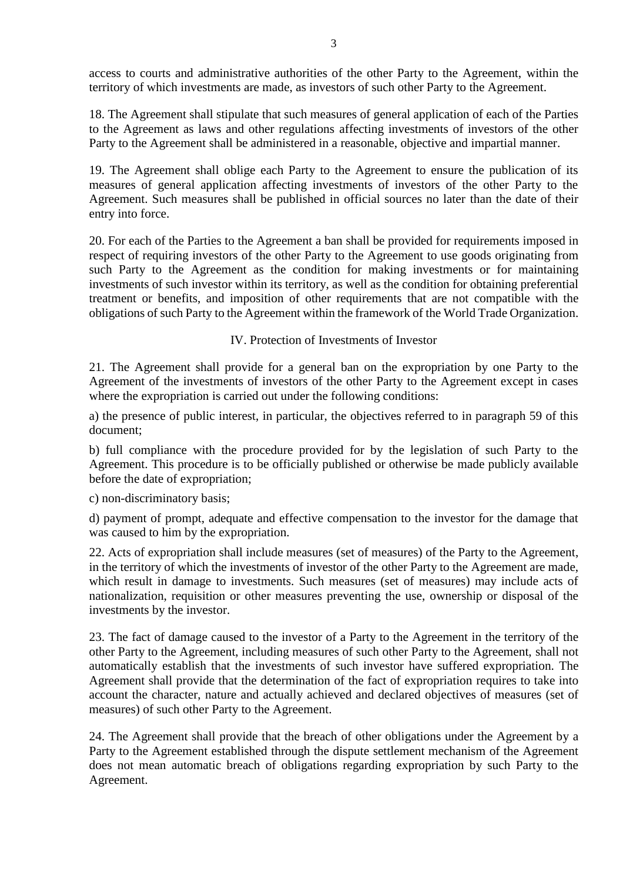access to courts and administrative authorities of the other Party to the Agreement, within the territory of which investments are made, as investors of such other Party to the Agreement.

18. The Agreement shall stipulate that such measures of general application of each of the Parties to the Agreement as laws and other regulations affecting investments of investors of the other Party to the Agreement shall be administered in a reasonable, objective and impartial manner.

19. The Agreement shall oblige each Party to the Agreement to ensure the publication of its measures of general application affecting investments of investors of the other Party to the Agreement. Such measures shall be published in official sources no later than the date of their entry into force.

20. For each of the Parties to the Agreement a ban shall be provided for requirements imposed in respect of requiring investors of the other Party to the Agreement to use goods originating from such Party to the Agreement as the condition for making investments or for maintaining investments of such investor within its territory, as well as the condition for obtaining preferential treatment or benefits, and imposition of other requirements that are not compatible with the obligations of such Party to the Agreement within the framework of the World Trade Organization.

IV. Protection of Investments of Investor

21. The Agreement shall provide for a general ban on the expropriation by one Party to the Agreement of the investments of investors of the other Party to the Agreement except in cases where the expropriation is carried out under the following conditions:

a) the presence of public interest, in particular, the objectives referred to in paragraph 59 of this document;

b) full compliance with the procedure provided for by the legislation of such Party to the Agreement. This procedure is to be officially published or otherwise be made publicly available before the date of expropriation;

c) non-discriminatory basis;

d) payment of prompt, adequate and effective compensation to the investor for the damage that was caused to him by the expropriation.

22. Acts of expropriation shall include measures (set of measures) of the Party to the Agreement, in the territory of which the investments of investor of the other Party to the Agreement are made, which result in damage to investments. Such measures (set of measures) may include acts of nationalization, requisition or other measures preventing the use, ownership or disposal of the investments by the investor.

23. The fact of damage caused to the investor of a Party to the Agreement in the territory of the other Party to the Agreement, including measures of such other Party to the Agreement, shall not automatically establish that the investments of such investor have suffered expropriation. The Agreement shall provide that the determination of the fact of expropriation requires to take into account the character, nature and actually achieved and declared objectives of measures (set of measures) of such other Party to the Agreement.

24. The Agreement shall provide that the breach of other obligations under the Agreement by a Party to the Agreement established through the dispute settlement mechanism of the Agreement does not mean automatic breach of obligations regarding expropriation by such Party to the Agreement.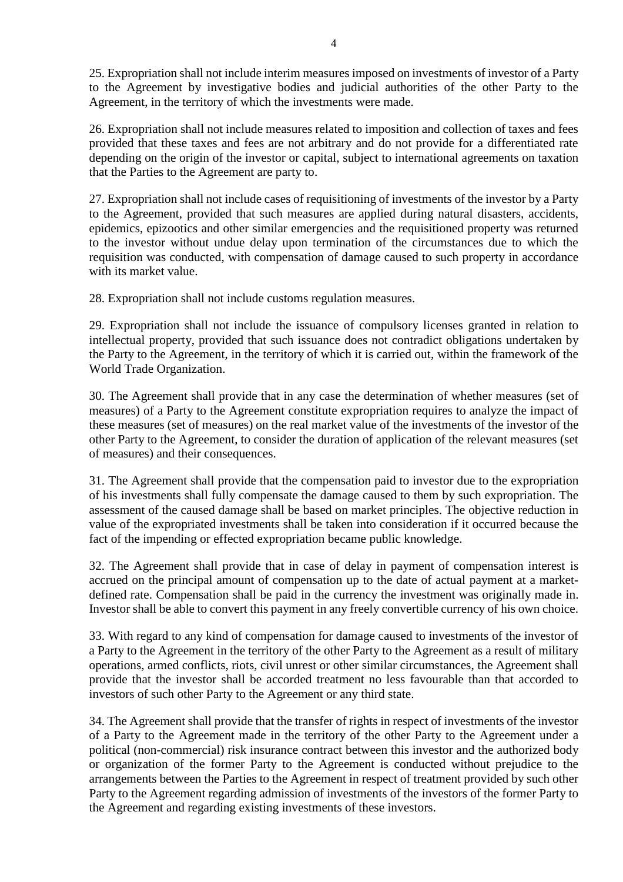25. Expropriation shall not include interim measures imposed on investments of investor of a Party to the Agreement by investigative bodies and judicial authorities of the other Party to the Agreement, in the territory of which the investments were made.

26. Expropriation shall not include measures related to imposition and collection of taxes and fees provided that these taxes and fees are not arbitrary and do not provide for a differentiated rate depending on the origin of the investor or capital, subject to international agreements on taxation that the Parties to the Agreement are party to.

27. Expropriation shall not include cases of requisitioning of investments of the investor by a Party to the Agreement, provided that such measures are applied during natural disasters, accidents, epidemics, epizootics and other similar emergencies and the requisitioned property was returned to the investor without undue delay upon termination of the circumstances due to which the requisition was conducted, with compensation of damage caused to such property in accordance with its market value.

28. Expropriation shall not include customs regulation measures.

29. Expropriation shall not include the issuance of compulsory licenses granted in relation to intellectual property, provided that such issuance does not contradict obligations undertaken by the Party to the Agreement, in the territory of which it is carried out, within the framework of the World Trade Organization.

30. The Agreement shall provide that in any case the determination of whether measures (set of measures) of a Party to the Agreement constitute expropriation requires to analyze the impact of these measures (set of measures) on the real market value of the investments of the investor of the other Party to the Agreement, to consider the duration of application of the relevant measures (set of measures) and their consequences.

31. The Agreement shall provide that the compensation paid to investor due to the expropriation of his investments shall fully compensate the damage caused to them by such expropriation. The assessment of the caused damage shall be based on market principles. The objective reduction in value of the expropriated investments shall be taken into consideration if it occurred because the fact of the impending or effected expropriation became public knowledge.

32. The Agreement shall provide that in case of delay in payment of compensation interest is accrued on the principal amount of compensation up to the date of actual payment at a marketdefined rate. Compensation shall be paid in the currency the investment was originally made in. Investor shall be able to convert this payment in any freely convertible currency of his own choice.

33. With regard to any kind of compensation for damage caused to investments of the investor of a Party to the Agreement in the territory of the other Party to the Agreement as a result of military operations, armed conflicts, riots, civil unrest or other similar circumstances, the Agreement shall provide that the investor shall be accorded treatment no less favourable than that accorded to investors of such other Party to the Agreement or any third state.

34. The Agreement shall provide that the transfer of rights in respect of investments of the investor of a Party to the Agreement made in the territory of the other Party to the Agreement under a political (non-commercial) risk insurance contract between this investor and the authorized body or organization of the former Party to the Agreement is conducted without prejudice to the arrangements between the Parties to the Agreement in respect of treatment provided by such other Party to the Agreement regarding admission of investments of the investors of the former Party to the Agreement and regarding existing investments of these investors.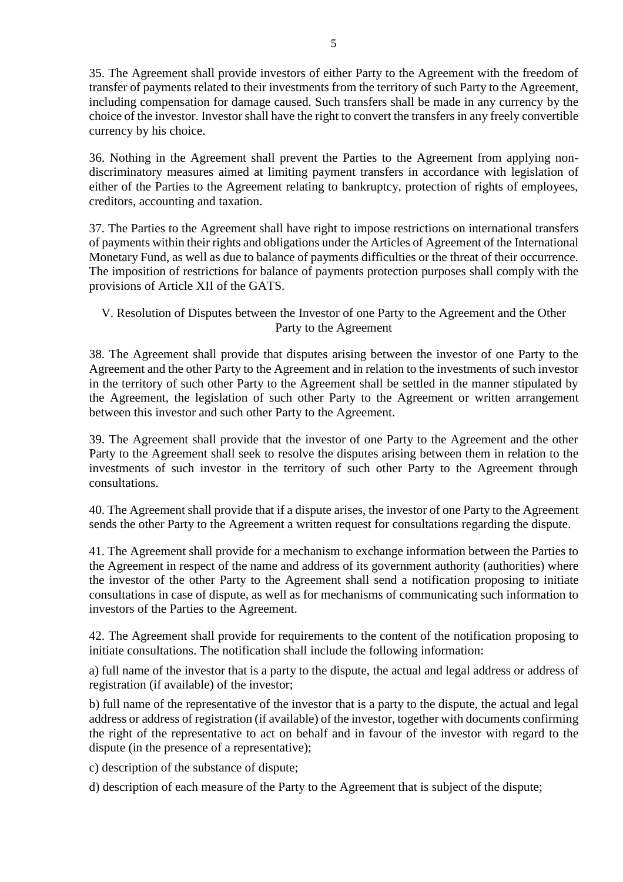35. The Agreement shall provide investors of either Party to the Agreement with the freedom of transfer of payments related to their investments from the territory of such Party to the Agreement, including compensation for damage caused. Such transfers shall be made in any currency by the choice of the investor. Investor shall have the right to convert the transfers in any freely convertible currency by his choice.

36. Nothing in the Agreement shall prevent the Parties to the Agreement from applying nondiscriminatory measures aimed at limiting payment transfers in accordance with legislation of either of the Parties to the Agreement relating to bankruptcy, protection of rights of employees, creditors, accounting and taxation.

37. The Parties to the Agreement shall have right to impose restrictions on international transfers of payments within their rights and obligations under the Articles of Agreement of the International Monetary Fund, as well as due to balance of payments difficulties or the threat of their occurrence. The imposition of restrictions for balance of payments protection purposes shall comply with the provisions of Article XII of the GATS.

V. Resolution of Disputes between the Investor of one Party to the Agreement and the Other Party to the Agreement

38. The Agreement shall provide that disputes arising between the investor of one Party to the Agreement and the other Party to the Agreement and in relation to the investments of such investor in the territory of such other Party to the Agreement shall be settled in the manner stipulated by the Agreement, the legislation of such other Party to the Agreement or written arrangement between this investor and such other Party to the Agreement.

39. The Agreement shall provide that the investor of one Party to the Agreement and the other Party to the Agreement shall seek to resolve the disputes arising between them in relation to the investments of such investor in the territory of such other Party to the Agreement through consultations.

40. The Agreement shall provide that if a dispute arises, the investor of one Party to the Agreement sends the other Party to the Agreement a written request for consultations regarding the dispute.

41. The Agreement shall provide for a mechanism to exchange information between the Parties to the Agreement in respect of the name and address of its government authority (authorities) where the investor of the other Party to the Agreement shall send a notification proposing to initiate consultations in case of dispute, as well as for mechanisms of communicating such information to investors of the Parties to the Agreement.

42. The Agreement shall provide for requirements to the content of the notification proposing to initiate consultations. The notification shall include the following information:

a) full name of the investor that is a party to the dispute, the actual and legal address or address of registration (if available) of the investor;

b) full name of the representative of the investor that is a party to the dispute, the actual and legal address or address of registration (if available) of the investor, together with documents confirming the right of the representative to act on behalf and in favour of the investor with regard to the dispute (in the presence of a representative);

c) description of the substance of dispute;

d) description of each measure of the Party to the Agreement that is subject of the dispute;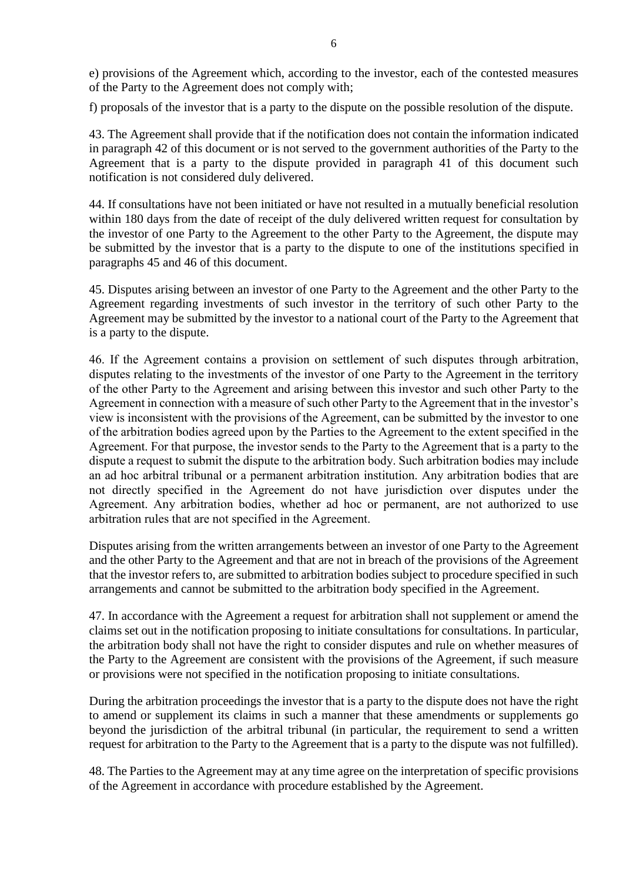e) provisions of the Agreement which, according to the investor, each of the contested measures of the Party to the Agreement does not comply with;

f) proposals of the investor that is a party to the dispute on the possible resolution of the dispute.

43. The Agreement shall provide that if the notification does not contain the information indicated in paragraph 42 of this document or is not served to the government authorities of the Party to the Agreement that is a party to the dispute provided in paragraph 41 of this document such notification is not considered duly delivered.

44. If consultations have not been initiated or have not resulted in a mutually beneficial resolution within 180 days from the date of receipt of the duly delivered written request for consultation by the investor of one Party to the Agreement to the other Party to the Agreement, the dispute may be submitted by the investor that is a party to the dispute to one of the institutions specified in paragraphs 45 and 46 of this document.

45. Disputes arising between an investor of one Party to the Agreement and the other Party to the Agreement regarding investments of such investor in the territory of such other Party to the Agreement may be submitted by the investor to a national court of the Party to the Agreement that is a party to the dispute.

46. If the Agreement contains a provision on settlement of such disputes through arbitration, disputes relating to the investments of the investor of one Party to the Agreement in the territory of the other Party to the Agreement and arising between this investor and such other Party to the Agreement in connection with a measure of such other Party to the Agreement that in the investor's view is inconsistent with the provisions of the Agreement, can be submitted by the investor to one of the arbitration bodies agreed upon by the Parties to the Agreement to the extent specified in the Agreement. For that purpose, the investor sends to the Party to the Agreement that is a party to the dispute a request to submit the dispute to the arbitration body. Such arbitration bodies may include an ad hoc arbitral tribunal or a permanent arbitration institution. Any arbitration bodies that are not directly specified in the Agreement do not have jurisdiction over disputes under the Agreement. Any arbitration bodies, whether ad hoc or permanent, are not authorized to use arbitration rules that are not specified in the Agreement.

Disputes arising from the written arrangements between an investor of one Party to the Agreement and the other Party to the Agreement and that are not in breach of the provisions of the Agreement that the investor refers to, are submitted to arbitration bodies subject to procedure specified in such arrangements and cannot be submitted to the arbitration body specified in the Agreement.

47. In accordance with the Agreement a request for arbitration shall not supplement or amend the claims set out in the notification proposing to initiate consultations for consultations. In particular, the arbitration body shall not have the right to consider disputes and rule on whether measures of the Party to the Agreement are consistent with the provisions of the Agreement, if such measure or provisions were not specified in the notification proposing to initiate consultations.

During the arbitration proceedings the investor that is a party to the dispute does not have the right to amend or supplement its claims in such a manner that these amendments or supplements go beyond the jurisdiction of the arbitral tribunal (in particular, the requirement to send a written request for arbitration to the Party to the Agreement that is a party to the dispute was not fulfilled).

48. The Parties to the Agreement may at any time agree on the interpretation of specific provisions of the Agreement in accordance with procedure established by the Agreement.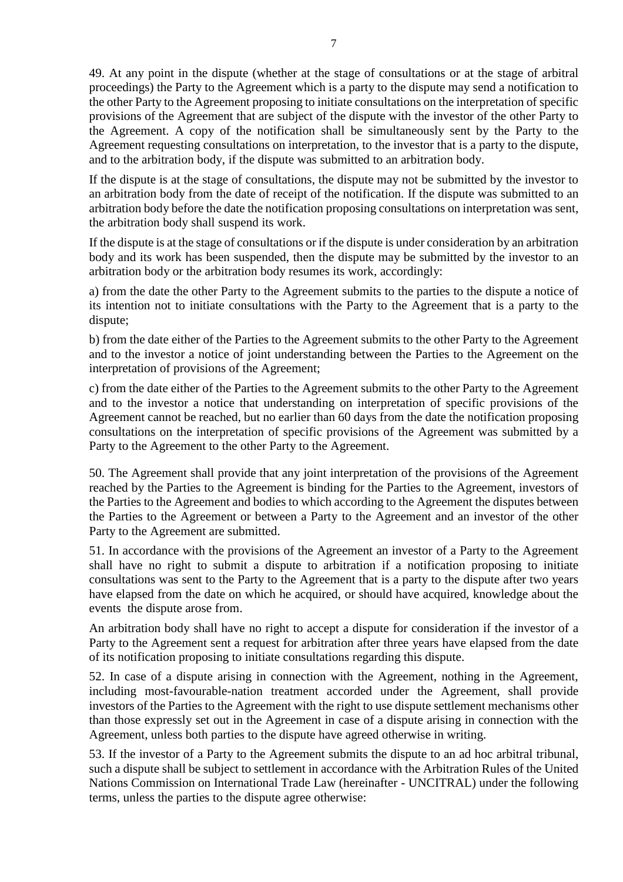49. At any point in the dispute (whether at the stage of consultations or at the stage of arbitral proceedings) the Party to the Agreement which is a party to the dispute may send a notification to the other Party to the Agreement proposing to initiate consultations on the interpretation of specific provisions of the Agreement that are subject of the dispute with the investor of the other Party to the Agreement. A copy of the notification shall be simultaneously sent by the Party to the Agreement requesting consultations on interpretation, to the investor that is a party to the dispute, and to the arbitration body, if the dispute was submitted to an arbitration body.

If the dispute is at the stage of consultations, the dispute may not be submitted by the investor to an arbitration body from the date of receipt of the notification. If the dispute was submitted to an arbitration body before the date the notification proposing consultations on interpretation was sent, the arbitration body shall suspend its work.

If the dispute is at the stage of consultations or if the dispute is under consideration by an arbitration body and its work has been suspended, then the dispute may be submitted by the investor to an arbitration body or the arbitration body resumes its work, accordingly:

a) from the date the other Party to the Agreement submits to the parties to the dispute a notice of its intention not to initiate consultations with the Party to the Agreement that is a party to the dispute;

b) from the date either of the Parties to the Agreement submits to the other Party to the Agreement and to the investor a notice of joint understanding between the Parties to the Agreement on the interpretation of provisions of the Agreement;

c) from the date either of the Parties to the Agreement submits to the other Party to the Agreement and to the investor a notice that understanding on interpretation of specific provisions of the Agreement cannot be reached, but no earlier than 60 days from the date the notification proposing consultations on the interpretation of specific provisions of the Agreement was submitted by a Party to the Agreement to the other Party to the Agreement.

50. The Agreement shall provide that any joint interpretation of the provisions of the Agreement reached by the Parties to the Agreement is binding for the Parties to the Agreement, investors of the Parties to the Agreement and bodies to which according to the Agreement the disputes between the Parties to the Agreement or between a Party to the Agreement and an investor of the other Party to the Agreement are submitted.

51. In accordance with the provisions of the Agreement an investor of a Party to the Agreement shall have no right to submit a dispute to arbitration if a notification proposing to initiate consultations was sent to the Party to the Agreement that is a party to the dispute after two years have elapsed from the date on which he acquired, or should have acquired, knowledge about the events the dispute arose from.

An arbitration body shall have no right to accept a dispute for consideration if the investor of a Party to the Agreement sent a request for arbitration after three years have elapsed from the date of its notification proposing to initiate consultations regarding this dispute.

52. In case of a dispute arising in connection with the Agreement, nothing in the Agreement, including most-favourable-nation treatment accorded under the Agreement, shall provide investors of the Parties to the Agreement with the right to use dispute settlement mechanisms other than those expressly set out in the Agreement in case of a dispute arising in connection with the Agreement, unless both parties to the dispute have agreed otherwise in writing.

53. If the investor of a Party to the Agreement submits the dispute to an ad hoc arbitral tribunal, such a dispute shall be subject to settlement in accordance with the Arbitration Rules of the United Nations Commission on International Trade Law (hereinafter - UNCITRAL) under the following terms, unless the parties to the dispute agree otherwise: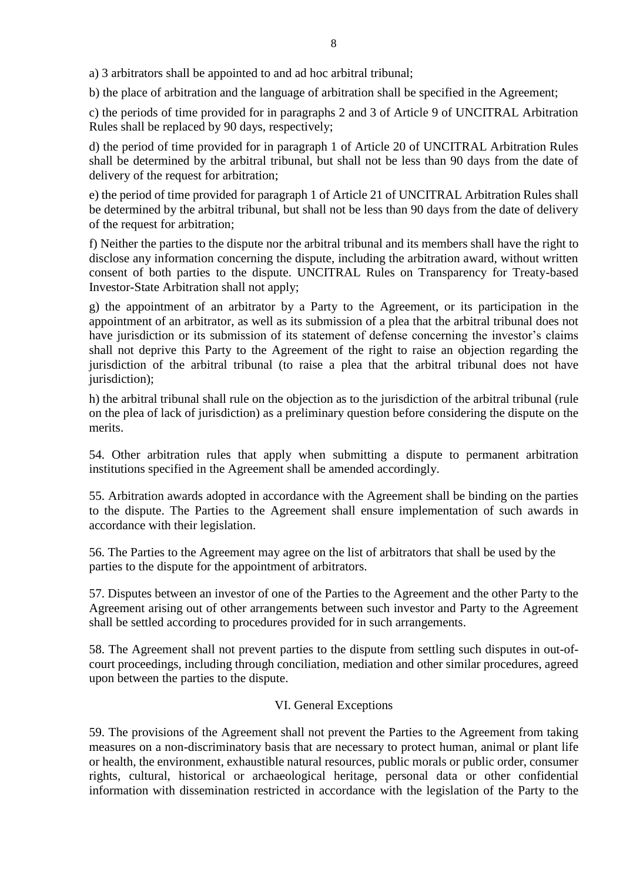a) 3 arbitrators shall be appointed to and ad hoc arbitral tribunal;

b) the place of arbitration and the language of arbitration shall be specified in the Agreement;

c) the periods of time provided for in paragraphs 2 and 3 of Article 9 of UNCITRAL Arbitration Rules shall be replaced by 90 days, respectively;

d) the period of time provided for in paragraph 1 of Article 20 of UNCITRAL Arbitration Rules shall be determined by the arbitral tribunal, but shall not be less than 90 days from the date of delivery of the request for arbitration;

e) the period of time provided for paragraph 1 of Article 21 of UNCITRAL Arbitration Rules shall be determined by the arbitral tribunal, but shall not be less than 90 days from the date of delivery of the request for arbitration;

f) Neither the parties to the dispute nor the arbitral tribunal and its members shall have the right to disclose any information concerning the dispute, including the arbitration award, without written consent of both parties to the dispute. UNCITRAL Rules on Transparency for Treaty-based Investor-State Arbitration shall not apply;

g) the appointment of an arbitrator by a Party to the Agreement, or its participation in the appointment of an arbitrator, as well as its submission of a plea that the arbitral tribunal does not have jurisdiction or its submission of its statement of defense concerning the investor's claims shall not deprive this Party to the Agreement of the right to raise an objection regarding the jurisdiction of the arbitral tribunal (to raise a plea that the arbitral tribunal does not have jurisdiction);

h) the arbitral tribunal shall rule on the objection as to the jurisdiction of the arbitral tribunal (rule on the plea of lack of jurisdiction) as a preliminary question before considering the dispute on the merits.

54. Other arbitration rules that apply when submitting a dispute to permanent arbitration institutions specified in the Agreement shall be amended accordingly.

55. Arbitration awards adopted in accordance with the Agreement shall be binding on the parties to the dispute. The Parties to the Agreement shall ensure implementation of such awards in accordance with their legislation.

56. The Parties to the Agreement may agree on the list of arbitrators that shall be used by the parties to the dispute for the appointment of arbitrators.

57. Disputes between an investor of one of the Parties to the Agreement and the other Party to the Agreement arising out of other arrangements between such investor and Party to the Agreement shall be settled according to procedures provided for in such arrangements.

58. The Agreement shall not prevent parties to the dispute from settling such disputes in out-ofcourt proceedings, including through conciliation, mediation and other similar procedures, agreed upon between the parties to the dispute.

#### VI. General Exceptions

59. The provisions of the Agreement shall not prevent the Parties to the Agreement from taking measures on a non-discriminatory basis that are necessary to protect human, animal or plant life or health, the environment, exhaustible natural resources, public morals or public order, consumer rights, cultural, historical or archaeological heritage, personal data or other confidential information with dissemination restricted in accordance with the legislation of the Party to the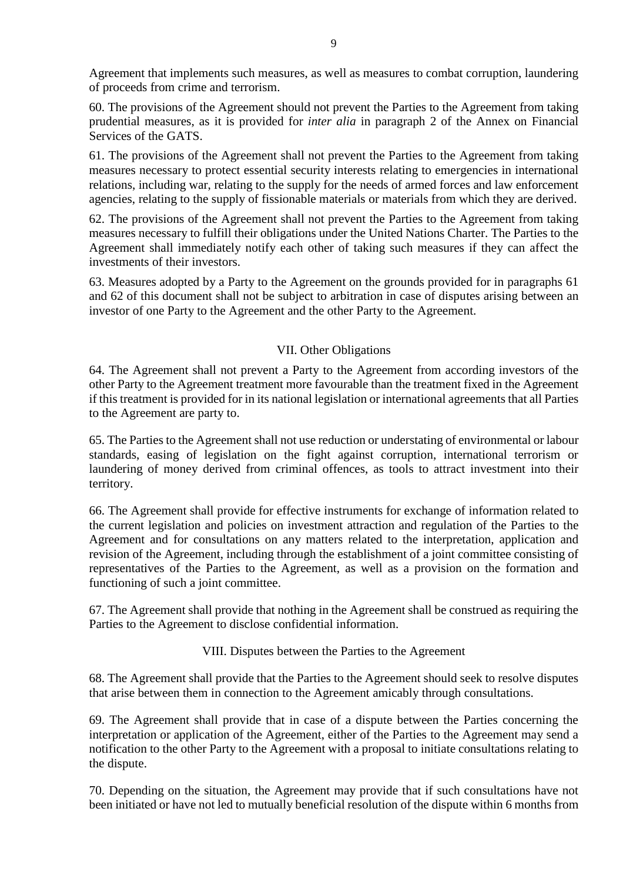Agreement that implements such measures, as well as measures to combat corruption, laundering of proceeds from crime and terrorism.

60. The provisions of the Agreement should not prevent the Parties to the Agreement from taking prudential measures, as it is provided for *inter alia* in paragraph 2 of the Annex on Financial Services of the GATS.

61. The provisions of the Agreement shall not prevent the Parties to the Agreement from taking measures necessary to protect essential security interests relating to emergencies in international relations, including war, relating to the supply for the needs of armed forces and law enforcement agencies, relating to the supply of fissionable materials or materials from which they are derived.

62. The provisions of the Agreement shall not prevent the Parties to the Agreement from taking measures necessary to fulfill their obligations under the United Nations Charter. The Parties to the Agreement shall immediately notify each other of taking such measures if they can affect the investments of their investors.

63. Measures adopted by a Party to the Agreement on the grounds provided for in paragraphs 61 and 62 of this document shall not be subject to arbitration in case of disputes arising between an investor of one Party to the Agreement and the other Party to the Agreement.

## VII. Other Obligations

64. The Agreement shall not prevent a Party to the Agreement from according investors of the other Party to the Agreement treatment more favourable than the treatment fixed in the Agreement if this treatment is provided for in its national legislation or international agreements that all Parties to the Agreement are party to.

65. The Parties to the Agreement shall not use reduction or understating of environmental or labour standards, easing of legislation on the fight against corruption, international terrorism or laundering of money derived from criminal offences, as tools to attract investment into their territory.

66. The Agreement shall provide for effective instruments for exchange of information related to the current legislation and policies on investment attraction and regulation of the Parties to the Agreement and for consultations on any matters related to the interpretation, application and revision of the Agreement, including through the establishment of a joint committee consisting of representatives of the Parties to the Agreement, as well as a provision on the formation and functioning of such a joint committee.

67. The Agreement shall provide that nothing in the Agreement shall be construed as requiring the Parties to the Agreement to disclose confidential information.

#### VIII. Disputes between the Parties to the Agreement

68. The Agreement shall provide that the Parties to the Agreement should seek to resolve disputes that arise between them in connection to the Agreement amicably through consultations.

69. The Agreement shall provide that in case of a dispute between the Parties concerning the interpretation or application of the Agreement, either of the Parties to the Agreement may send a notification to the other Party to the Agreement with a proposal to initiate consultations relating to the dispute.

70. Depending on the situation, the Agreement may provide that if such consultations have not been initiated or have not led to mutually beneficial resolution of the dispute within 6 months from